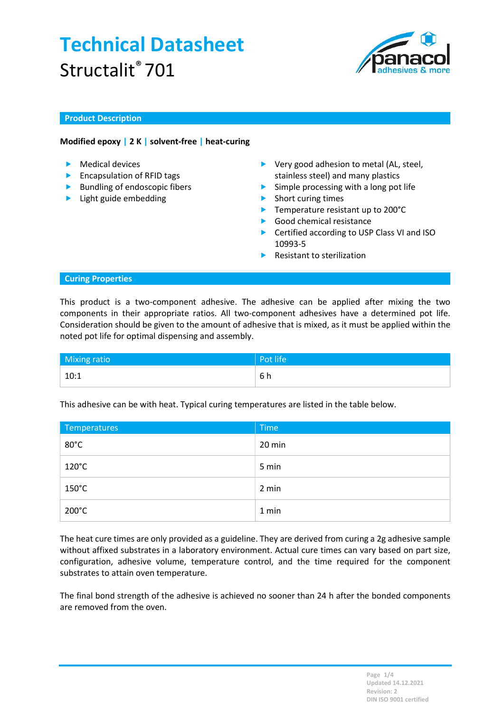

## Product Description

## Modified epoxy | 2 K | solvent-free | heat-curing

- $\blacktriangleright$  Medical devices
- **Encapsulation of RFID tags**
- $\blacktriangleright$  Bundling of endoscopic fibers
- **Light guide embedding**
- ▶ Very good adhesion to metal (AL, steel, stainless steel) and many plastics
- $\triangleright$  Simple processing with a long pot life
- **Short curing times**
- ▶ Temperature resistant up to 200°C
- Good chemical resistance
- ▶ Certified according to USP Class VI and ISO 10993-5
- Resistant to sterilization

### Curing Properties

This product is a two-component adhesive. The adhesive can be applied after mixing the two components in their appropriate ratios. All two-component adhesives have a determined pot life. Consideration should be given to the amount of adhesive that is mixed, as it must be applied within the noted pot life for optimal dispensing and assembly.

| Mixing ratio | Pot life |
|--------------|----------|
| 10:1         | 6 h      |

This adhesive can be with heat. Typical curing temperatures are listed in the table below.

| Temperatures    | <b>Time</b> |
|-----------------|-------------|
| $80^{\circ}$ C  | 20 min      |
| $120^{\circ}$ C | 5 min       |
| $150^{\circ}$ C | 2 min       |
| $200^{\circ}$ C | 1 min       |

The heat cure times are only provided as a guideline. They are derived from curing a 2g adhesive sample without affixed substrates in a laboratory environment. Actual cure times can vary based on part size, configuration, adhesive volume, temperature control, and the time required for the component substrates to attain oven temperature.

The final bond strength of the adhesive is achieved no sooner than 24 h after the bonded components are removed from the oven.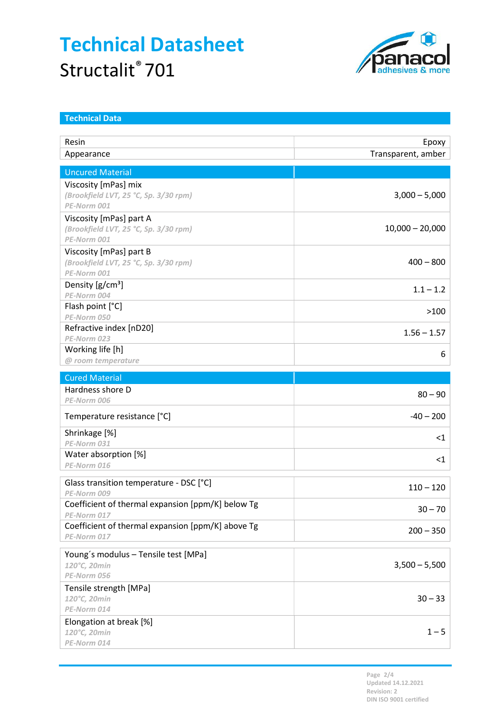

| <b>Technical Data</b>                                            |                             |  |  |
|------------------------------------------------------------------|-----------------------------|--|--|
| Resin                                                            |                             |  |  |
| Appearance                                                       | Epoxy<br>Transparent, amber |  |  |
|                                                                  |                             |  |  |
| <b>Uncured Material</b>                                          |                             |  |  |
| Viscosity [mPas] mix                                             |                             |  |  |
| (Brookfield LVT, 25 °C, Sp. 3/30 rpm)<br>PE-Norm 001             | $3,000 - 5,000$             |  |  |
| Viscosity [mPas] part A                                          |                             |  |  |
| (Brookfield LVT, 25 °C, Sp. 3/30 rpm)                            | $10,000 - 20,000$           |  |  |
| PE-Norm 001                                                      |                             |  |  |
| Viscosity [mPas] part B                                          |                             |  |  |
| (Brookfield LVT, 25 °C, Sp. 3/30 rpm)                            | $400 - 800$                 |  |  |
| PE-Norm 001<br>Density $[g/cm^3]$                                |                             |  |  |
| PE-Norm 004                                                      | $1.1 - 1.2$                 |  |  |
| Flash point [°C]                                                 | >100                        |  |  |
| PE-Norm 050                                                      |                             |  |  |
| Refractive index [nD20]                                          | $1.56 - 1.57$               |  |  |
| PE-Norm 023<br>Working life [h]                                  |                             |  |  |
| @ room temperature                                               | 6                           |  |  |
| <b>Cured Material</b>                                            |                             |  |  |
| Hardness shore D                                                 |                             |  |  |
| PE-Norm 006                                                      | $80 - 90$                   |  |  |
| Temperature resistance [°C]                                      | $-40 - 200$                 |  |  |
| Shrinkage [%]                                                    | $<$ 1                       |  |  |
| PE-Norm 031                                                      |                             |  |  |
| Water absorption [%]<br>PE-Norm 016                              | $<$ 1                       |  |  |
|                                                                  |                             |  |  |
| Glass transition temperature - DSC [°C]<br>PE-Norm 009           | $110 - 120$                 |  |  |
| Coefficient of thermal expansion [ppm/K] below Tg<br>PE-Norm 017 | $30 - 70$                   |  |  |
| Coefficient of thermal expansion [ppm/K] above Tg                |                             |  |  |
| PE-Norm 017                                                      | $200 - 350$                 |  |  |
| Young's modulus - Tensile test [MPa]                             |                             |  |  |
| 120°C, 20min                                                     | $3,500 - 5,500$             |  |  |
| PE-Norm 056                                                      |                             |  |  |
| Tensile strength [MPa]<br>120°C, 20min                           | $30 - 33$                   |  |  |
| PE-Norm 014                                                      |                             |  |  |
| Elongation at break [%]                                          |                             |  |  |
| 120°C, 20min                                                     | $1 - 5$                     |  |  |
| PE-Norm 014                                                      |                             |  |  |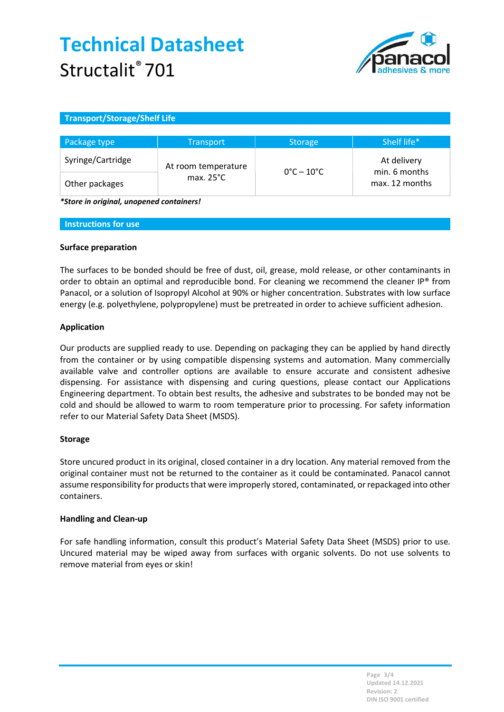

## Transport/Storage/Shelf Life

| Package type      | <b>Transport</b>                           | <b>Storage</b>                  | Shelf life*                                    |
|-------------------|--------------------------------------------|---------------------------------|------------------------------------------------|
| Syringe/Cartridge | At room temperature<br>max. $25^{\circ}$ C | $0^{\circ}$ C – 10 $^{\circ}$ C | At delivery<br>min. 6 months<br>max. 12 months |
| Other packages    |                                            |                                 |                                                |

\*Store in original, unopened containers!

#### Instructions for use

#### Surface preparation

The surfaces to be bonded should be free of dust, oil, grease, mold release, or other contaminants in order to obtain an optimal and reproducible bond. For cleaning we recommend the cleaner IP® from Panacol, or a solution of Isopropyl Alcohol at 90% or higher concentration. Substrates with low surface energy (e.g. polyethylene, polypropylene) must be pretreated in order to achieve sufficient adhesion.

#### Application

Our products are supplied ready to use. Depending on packaging they can be applied by hand directly from the container or by using compatible dispensing systems and automation. Many commercially available valve and controller options are available to ensure accurate and consistent adhesive dispensing. For assistance with dispensing and curing questions, please contact our Applications Engineering department. To obtain best results, the adhesive and substrates to be bonded may not be cold and should be allowed to warm to room temperature prior to processing. For safety information refer to our Material Safety Data Sheet (MSDS).

### Storage

Store uncured product in its original, closed container in a dry location. Any material removed from the original container must not be returned to the container as it could be contaminated. Panacol cannot assume responsibility for products that were improperly stored, contaminated, or repackaged into other containers.

### Handling and Clean-up

For safe handling information, consult this product's Material Safety Data Sheet (MSDS) prior to use. Uncured material may be wiped away from surfaces with organic solvents. Do not use solvents to remove material from eyes or skin!